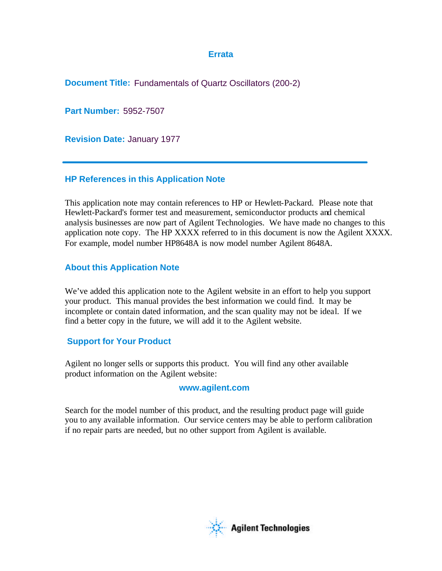#### **Errata**

**Document Title:** Fundamentals of Quartz Oscillators (200-2)

**Part Number:** 5952-7507

**Revision Date:** January 1977

#### **HP References in this Application Note**

This application note may contain references to HP or Hewlett-Packard. Please note that Hewlett-Packard's former test and measurement, semiconductor products and chemical analysis businesses are now part of Agilent Technologies. We have made no changes to this application note copy. The HP XXXX referred to in this document is now the Agilent XXXX. For example, model number HP8648A is now model number Agilent 8648A.

#### **About this Application Note**

We've added this application note to the Agilent website in an effort to help you support your product. This manual provides the best information we could find. It may be incomplete or contain dated information, and the scan quality may not be ideal. If we find a better copy in the future, we will add it to the Agilent website.

#### **Support for Your Product**

Agilent no longer sells or supports this product. You will find any other available product information on the Agilent website:

#### **www.agilent.com**

Search for the model number of this product, and the resulting product page will guide you to any available information. Our service centers may be able to perform calibration if no repair parts are needed, but no other support from Agilent is available.

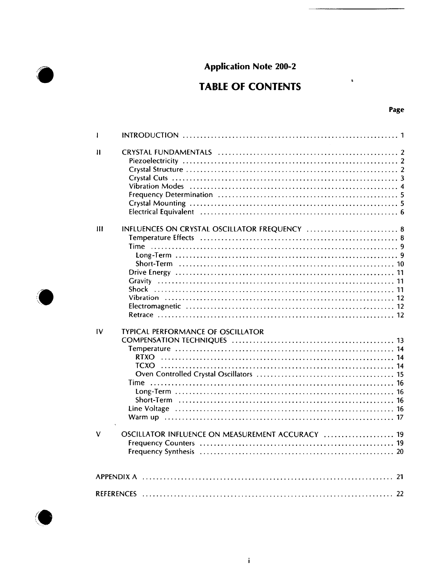# **Application Note 200-2**

# **TABLE OF CONTENTS**

| ٧<br>ł |
|--------|
|--------|

 $\tilde{\mathbf{g}}$ 

| I                       |                                                                                                                |  |  |  |
|-------------------------|----------------------------------------------------------------------------------------------------------------|--|--|--|
| $\mathbf{I}$            | Vibration Modes (and according to the control of the control of the state of the vibration of the vibration of |  |  |  |
| Ш                       | INFLUENCES ON CRYSTAL OSCILLATOR FREQUENCY  8                                                                  |  |  |  |
| IV                      | <b>TYPICAL PERFORMANCE OF OSCILLATOR</b><br><b>Time</b>                                                        |  |  |  |
| $\overline{\mathsf{V}}$ | OSCILLATOR INFLUENCE ON MEASUREMENT ACCURACY  19                                                               |  |  |  |
|                         |                                                                                                                |  |  |  |
|                         |                                                                                                                |  |  |  |

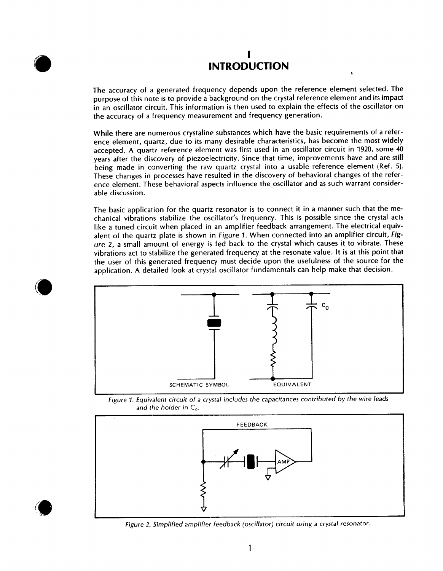# **INTRODUCTION**

The accuracy of a generated frequency depends upon the reference element selected. The purpose of this note is to provide a background on the crystal reference element and its impact in an oscillator circuit. This information is then used to explain the effects of the oscillator on the accuracy of a frequency measurement and frequency generation.

While there are numerous crystaline substances which have the basic requirements of a reference element, quartz, due to its many desirable characteristics, has become the most widely accepted. A quartz reference element was first used in an oscillator circuit in 1920, some 40 years after the discovery of piezoelectricity. Since that time, improvements have and are still being made in converting the raw quartz crystal into a usable reference element (Ref. 5). These changes in processes have resulted in the discovery of behavioral changes of the reference element. These behavioral aspects influence the oscillator and as such warrant considerable discussion.

The basic application for the quartz resonator is to connect it in a manner such that the mechanical vibrations stabilize the oscillator's frequency. This is possible since the crystal acts like a tuned circuit when placed in an amplifier feedback arrangement. The electrical equivalent of the quartz plate is shown in Figure 1. When connected into an amplifier circuit, Figure 2, a small amount of energy is fed back to the crystal which causes it to vibrate. These vibrations act to stabilize the generated frequency at the resonate value. It is at this point that the user of this generated frequency must decide upon the usefulness of the source for the application. A detailed look at crystal oscillator fundamentals can help make that decision.







Figure 2. Simplified amplifier feedback (oscillator) circuit using a crystal resonator.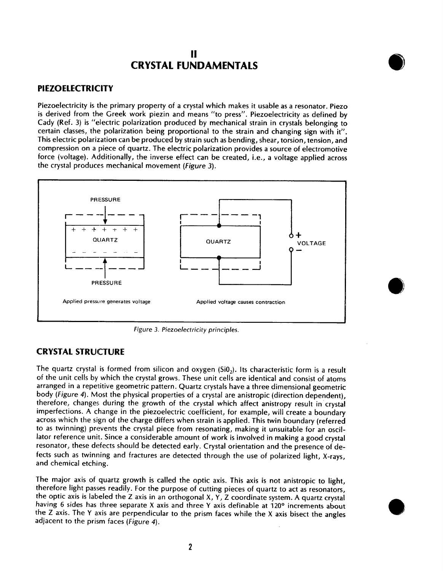# Ħ **CRYSTAL FUNDAMENTALS**

#### **PIEZOELECTRICITY**

Piezoelectricity is the primary property of a crystal which makes it usable as a resonator. Piezo is derived from the Greek work piezin and means "to press". Piezoelectricity as defined by Cady (Ref. 3) is "electric polarization produced by mechanical strain in crystals belonging to certain classes, the polarization being proportional to the strain and changing sign with it". This electric polarization can be produced by strain such as bending, shear, torsion, tension, and compression on a piece of quartz. The electric polarization provides a source of electromotive force (voltage). Additionally, the inverse effect can be created, i.e., a voltage applied across the crystal produces mechanical movement (Figure 3).



Figure 3. Piezoelectricity principles.

#### **CRYSTAL STRUCTURE**

The quartz crystal is formed from silicon and oxygen  $(Si0<sub>2</sub>)$ . Its characteristic form is a result of the unit cells by which the crystal grows. These unit cells are identical and consist of atoms arranged in a repetitive geometric pattern. Quartz crystals have a three dimensional geometric body (Figure 4). Most the physical properties of a crystal are anistropic (direction dependent). therefore, changes during the growth of the crystal which affect anistropy result in crystal imperfections. A change in the piezoelectric coefficient, for example, will create a boundary across which the sign of the charge differs when strain is applied. This twin boundary (referred to as twinning) prevents the crystal piece from resonating, making it unsuitable for an oscillator reference unit. Since a considerable amount of work is involved in making a good crystal resonator, these defects should be detected early. Crystal orientation and the presence of defects such as twinning and fractures are detected through the use of polarized light, X-rays, and chemical etching.

The major axis of quartz growth is called the optic axis. This axis is not anistropic to light, therefore light passes readily. For the purpose of cutting pieces of quartz to act as resonators, the optic axis is labeled the Z axis in an orthogonal X, Y, Z coordinate system. A quartz crystal having 6 sides has three separate X axis and three Y axis definable at 120° increments about the Z axis. The Y axis are perpendicular to the prism faces while the X axis bisect the angles adjacent to the prism faces (Figure 4).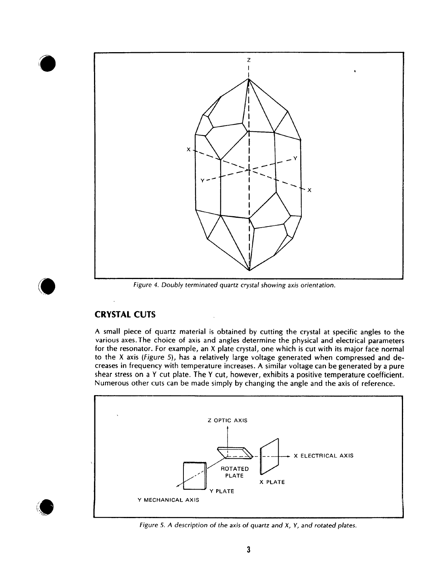

Figure 4. Doubly terminated quartz crystal showing axis orientation.

## **CRYSTAL CUTS**

A small piece of quartz material is obtained by cutting the crystal at specific angles to the various axes. The choice of axis and angles determine the physical and electrical parameters for the resonator. For example, an X plate crystal, one which is cut with its major face normal to the X axis (Figure 5), has a relatively large voltage generated when compressed and decreases in frequency with temperature increases. A similar voltage can be generated by a pure shear stress on a Y cut plate. The Y cut, however, exhibits a positive temperature coefficient. Numerous other cuts can be made simply by changing the angle and the axis of reference.



Figure 5. A description of the axis of quartz and X, Y, and rotated plates.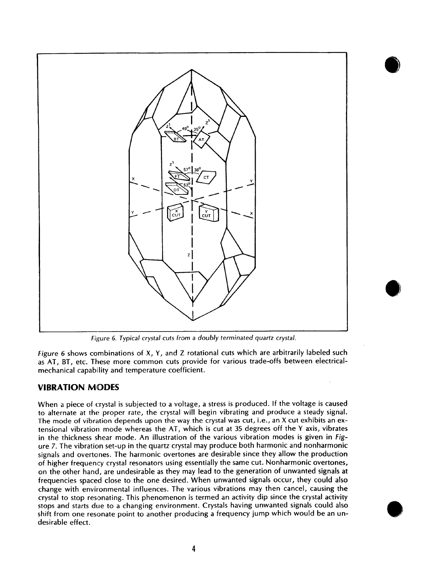

Figure 6. Typical crystal cuts from a doubly terminated quartz crystal.

Figure 6 shows combinations of X, Y, and Z rotational cuts which are arbitrarily labeled such as AT, BT, etc. These more common cuts provide for various trade-offs between electricalmechanical capability and temperature coefficient.

#### **VIBRATION MODES**

When a piece of crystal is subjected to a voltage, a stress is produced. If the voltage is caused to alternate at the proper rate, the crystal will begin vibrating and produce a steady signal. The mode of vibration depends upon the way the crystal was cut, i.e., an X cut exhibits an extensional vibration mode whereas the AT, which is cut at 35 degrees off the Y axis, vibrates in the thickness shear mode. An illustration of the various vibration modes is given in Figure 7. The vibration set-up in the quartz crystal may produce both harmonic and nonharmonic signals and overtones. The harmonic overtones are desirable since they allow the production of higher frequency crystal resonators using essentially the same cut. Nonharmonic overtones, on the other hand, are undesirable as they may lead to the generation of unwanted signals at frequencies spaced close to the one desired. When unwanted signals occur, they could also change with environmental influences. The various vibrations may then cancel, causing the crystal to stop resonating. This phenomenon is termed an activity dip since the crystal activity stops and starts due to a changing environment. Crystals having unwanted signals could also shift from one resonate point to another producing a frequency jump which would be an undesirable effect.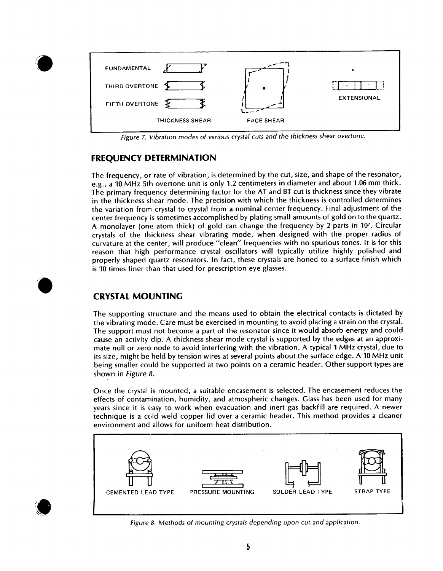

Figure 7. Vibration modes of various crystal cuts and the thickness shear overtone.

#### **FREQUENCY DETERMINATION**

The frequency, or rate of vibration, is determined by the cut, size, and shape of the resonator, e.g., a 10 MHz 5th overtone unit is only 1.2 centimeters in diameter and about 1.06 mm thick. The primary frequency determining factor for the AT and BT cut is thickness since they vibrate in the thickness shear mode. The precision with which the thickness is controlled determines the variation from crystal to crystal from a nominal center frequency. Final adjustment of the center frequency is sometimes accomplished by plating small amounts of gold on to the quartz. A monolayer (one atom thick) of gold can change the frequency by 2 parts in 107. Circular crystals of the thickness shear vibrating mode, when designed with the proper radius of curvature at the center, will produce "clean" frequencies with no spurious tones. It is for this reason that high performance crystal oscillators will typically utilize highly polished and properly shaped quartz resonators. In fact, these crystals are honed to a surface finish which is 10 times finer than that used for prescription eye glasses.

## **CRYSTAL MOUNTING**

The supporting structure and the means used to obtain the electrical contacts is dictated by the vibrating mode. Care must be exercised in mounting to avoid placing a strain on the crystal. The support must not become a part of the resonator since it would absorb energy and could cause an activity dip. A thickness shear mode crystal is supported by the edges at an approximate null or zero node to avoid interfering with the vibration. A typical 1 MHz crystal, due to its size, might be held by tension wires at several points about the surface edge. A 10 MHz unit being smaller could be supported at two points on a ceramic header. Other support types are shown in Figure 8.

Once the crystal is mounted, a suitable encasement is selected. The encasement reduces the effects of contamination, humidity, and atmospheric changes. Glass has been used for many years since it is easy to work when evacuation and inert gas backfill are required. A newer technique is a cold weld copper lid over a ceramic header. This method provides a cleaner environment and allows for uniform heat distribution.



Figure 8. Methods of mounting crystals depending upon cut and application.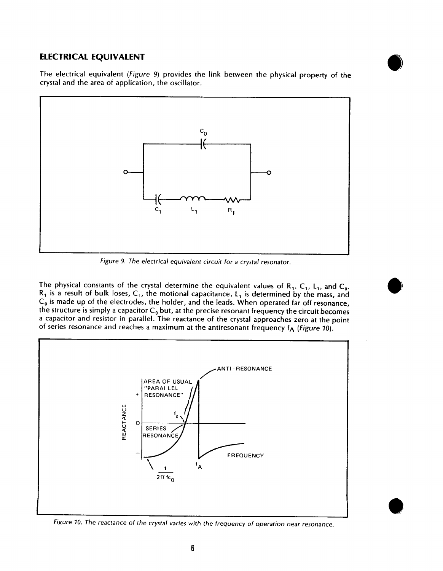#### **ELECTRICAL EQUIVALENT**



The electrical equivalent (Figure 9) provides the link between the physical property of the crystal and the area of application, the oscillator.



Figure 9. The electrical equivalent circuit for a crystal resonator.

The physical constants of the crystal determine the equivalent values of  $R_1$ ,  $C_1$ ,  $L_1$ , and  $C_0$ .  $R_1$  is a result of bulk loses,  $C_1$ , the motional capacitance,  $L_1$  is determined by the mass, and  $C_0$  is made up of the electrodes, the holder, and the leads. When operated far off resonance, the structure is simply a capacitor  $C_0$  but, at the precise resonant frequency the circuit becomes a capacitor and resistor in parallel. The reactance of the crystal approaches zero at the point of series resonance and reaches a maximum at the antiresonant frequency  $f_A$  (Figure 10).



Figure 10. The reactance of the crystal varies with the frequency of operation near resonance.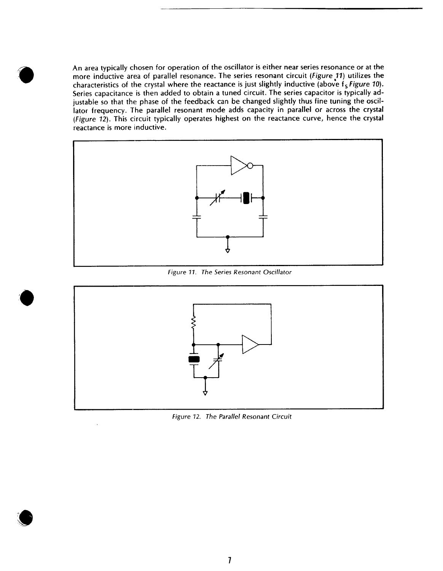An area typically chosen for operation of the oscillator is either near series resonance or at the more inductive area of parallel resonance. The series resonant circuit (Figure 11) utilizes the characteristics of the crystal where the reactance is just slightly inductive (above  $f_s$  Figure 10). Series capacitance is then added to obtain a tuned circuit. The series capacitor is typically adjustable so that the phase of the feedback can be changed slightly thus fine tuning the oscillator frequency. The parallel resonant mode adds capacity in parallel or across the crystal (Figure 12). This circuit typically operates highest on the reactance curve, hence the crystal reactance is more inductive.



Figure 11. The Series Resonant Oscillator



Figure 12. The Parallel Resonant Circuit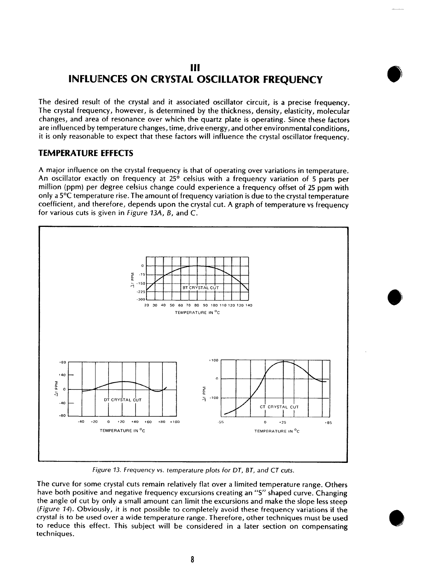# III **INFLUENCES ON CRYSTAL OSCILLATOR FREQUENCY**

The desired result of the crystal and it associated oscillator circuit, is a precise frequency. The crystal frequency, however, is determined by the thickness, density, elasticity, molecular changes, and area of resonance over which the quartz plate is operating. Since these factors are influenced by temperature changes, time, drive energy, and other environmental conditions, it is only reasonable to expect that these factors will influence the crystal oscillator frequency.

#### **TEMPERATURE EFFECTS**

A major influence on the crystal frequency is that of operating over variations in temperature. An oscillator exactly on frequency at 25° celsius with a frequency variation of 5 parts per million (ppm) per degree celsius change could experience a frequency offset of 25 ppm with only a 5°C temperature rise. The amount of frequency variation is due to the crystal temperature coefficient, and therefore, depends upon the crystal cut. A graph of temperature vs frequency for various cuts is given in Figure 13A, B, and C.



Figure 13. Frequency vs. temperature plots for DT, BT, and CT cuts.

The curve for some crystal cuts remain relatively flat over a limited temperature range. Others have both positive and negative frequency excursions creating an "S" shaped curve. Changing the angle of cut by only a small amount can limit the excursions and make the slope less steep (Figure 14). Obviously, it is not possible to completely avoid these frequency variations if the crystal is to be used over a wide temperature range. Therefore, other techniques must be used to reduce this effect. This subject will be considered in a later section on compensating techniques.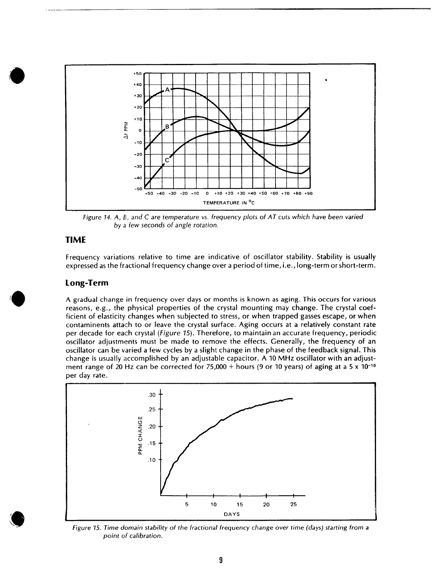

Figure 14. A, B, and C are temperature vs. frequency plots of AT cuts which have been varied by a few seconds of angle rotation.

#### **TIME**

Frequency variations relative to time are indicative of oscillator stability. Stability is usually expressed as the fractional frequency change over a period of time, i.e., long-term or short-term.

#### Long-Term

A gradual change in frequency over days or months is known as aging. This occurs for various reasons, e.g., the physical properties of the crystal mounting may change. The crystal coefficient of elasticity changes when subjected to stress, or when trapped gasses escape, or when contaminents attach to or leave the crystal surface. Aging occurs at a relatively constant rate per decade for each crystal (Figure 15). Therefore, to maintain an accurate frequency, periodic oscillator adjustments must be made to remove the effects. Generally, the frequency of an oscillator can be varied a few cycles by a slight change in the phase of the feedback signal. This change is usually accomplished by an adjustable capacitor. A 10 MHz oscillator with an adjustment range of 20 Hz can be corrected for 75,000 + hours (9 or 10 years) of aging at a 5 x 10<sup>-10</sup> per day rate.



Figure 15. Time domain stability of the fractional frequency change over time (days) starting from a point of calibration.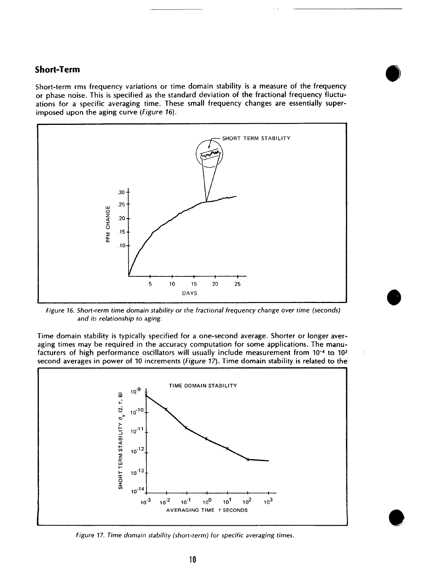#### **Short-Term**

Short-term rms frequency variations or time domain stability is a measure of the frequency or phase noise. This is specified as the standard deviation of the fractional frequency fluctuations for a specific averaging time. These small frequency changes are essentially superimposed upon the aging curve (*Figure 16*).



Figure 16. Short-term time domain stability or the fractional frequency change over time (seconds) and its relationship to aging.

Time domain stability is typically specified for a one-second average. Shorter or longer averaging times may be required in the accuracy computation for some applications. The manufacturers of high performance oscillators will usually include measurement from 10<sup>-4</sup> to 10<sup>2</sup> second averages in power of 10 increments (Figure 17). Time domain stability is related to the



Figure 17. Time domain stability (short-term) for specific averaging times.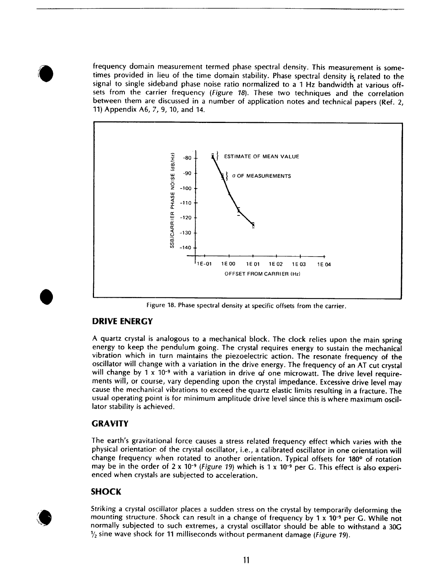frequency domain measurement termed phase spectral density. This measurement is sometimes provided in lieu of the time domain stability. Phase spectral density is related to the signal to single sideband phase noise ratio normalized to a 1 Hz bandwidth at various offsets from the carrier frequency (Figure 18). These two techniques and the correlation between them are discussed in a number of application notes and technical papers (Ref. 2, 11) Appendix A6, 7, 9, 10, and 14.



Figure 18. Phase spectral density at specific offsets from the carrier.

#### **DRIVE ENERGY**

A quartz crystal is analogous to a mechanical block. The clock relies upon the main spring energy to keep the pendulum going. The crystal requires energy to sustain the mechanical vibration which in turn maintains the piezoelectric action. The resonate frequency of the oscillator will change with a variation in the drive energy. The frequency of an AT cut crystal will change by  $1 \times 10^{-9}$  with a variation in drive of one microwatt. The drive level requirements will, or course, vary depending upon the crystal impedance. Excessive drive level may cause the mechanical vibrations to exceed the quartz elastic limits resulting in a fracture. The usual operating point is for minimum amplitude drive level since this is where maximum oscillator stability is achieved.

#### **GRAVITY**

The earth's gravitational force causes a stress related frequency effect which varies with the physical orientation of the crystal oscillator, i.e., a calibrated oscillator in one orientation will change frequency when rotated to another orientation. Typical offsets for 180° of rotation may be in the order of  $2 \times 10^{-9}$  (Figure 19) which is 1 x 10<sup>-9</sup> per G. This effect is also experienced when crystals are subjected to acceleration.

#### **SHOCK**

Striking a crystal oscillator places a sudden stress on the crystal by temporarily deforming the mounting structure. Shock can result in a change of frequency by 1 x 10<sup>-9</sup> per G. While not normally subjected to such extremes, a crystal oscillator should be able to withstand a 30G  $\frac{1}{2}$  sine wave shock for 11 milliseconds without permanent damage (*Figure 19*).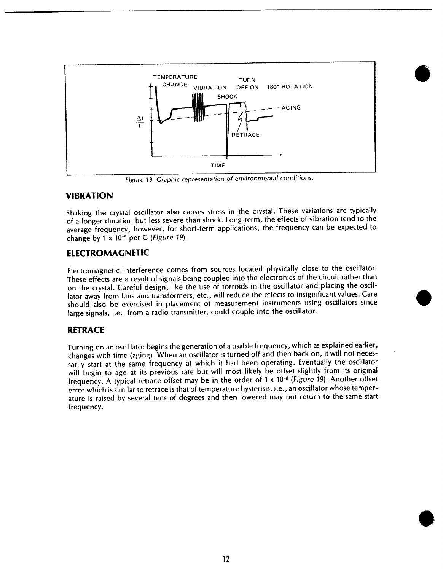

Figure 19. Graphic representation of environmental conditions.

#### **VIBRATION**

Shaking the crystal oscillator also causes stress in the crystal. These variations are typically of a longer duration but less severe than shock. Long-term, the effects of vibration tend to the average frequency, however, for short-term applications, the frequency can be expected to change by  $1 \times 10^{-9}$  per G (Figure 19).

#### **ELECTROMAGNETIC**

Electromagnetic interference comes from sources located physically close to the oscillator. These effects are a result of signals being coupled into the electronics of the circuit rather than on the crystal. Careful design, like the use of torroids in the oscillator and placing the oscillator away from fans and transformers, etc., will reduce the effects to insignificant values. Care should also be exercised in placement of measurement instruments using oscillators since large signals, i.e., from a radio transmitter, could couple into the oscillator.

#### **RETRACE**

Turning on an oscillator begins the generation of a usable frequency, which as explained earlier, changes with time (aging). When an oscillator is turned off and then back on, it will not necessarily start at the same frequency at which it had been operating. Eventually the oscillator will begin to age at its previous rate but will most likely be offset slightly from its original frequency. A typical retrace offset may be in the order of 1 x 10<sup>-8</sup> (Figure 19). Another offset error which is similar to retrace is that of temperature hysterisis, i.e., an oscillator whose temperature is raised by several tens of degrees and then lowered may not return to the same start frequency.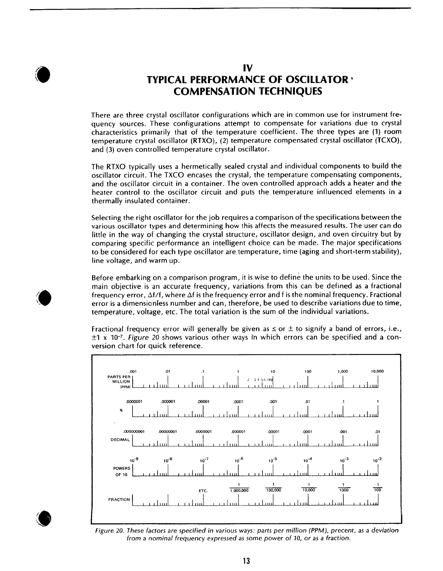

# IV **TYPICAL PERFORMANCE OF OSCILLATOR · COMPENSATION TECHNIQUES**

There are three crystal oscillator configurations which are in common use for instrument frequency sources. These configurations attempt to compensate for variations due to crystal characteristics primarily that of the temperature coefficient. The three types are (1) room temperature crystal oscillator (RTXO), (2) temperature compensated crystal oscillator (TCXO), and (3) oven controlled temperature crystal oscillator.

The RTXO typically uses a hermetically sealed crystal and individual components to build the oscillator circuit. The TXCO encases the crystal, the temperature compensating components, and the oscillator circuit in a container. The oven controlled approach adds a heater and the heater control to the oscillator circuit and puts the temperature influenced elements in a thermally insulated container.

Selecting the right oscillator for the job requires a comparison of the specifications between the various oscillator types and determining how this affects the measured results. The user can do little in the way of changing the crystal structure, oscillator design, and oven circuitry but by comparing specific performance an intelligent choice can be made. The major specifications to be considered for each type oscillator are temperature, time (aging and short-term stability), line voltage, and warm up.

Before embarking on a comparison program, it is wise to define the units to be used. Since the main objective is an accurate frequency, variations from this can be defined as a fractional frequency error,  $\Delta f/f$ , where  $\Delta f$  is the frequency error and f is the nominal frequency. Fractional error is a dimensionless number and can, therefore, be used to describe variations due to time, temperature, voltage, etc. The total variation is the sum of the individual variations.

Fractional frequency error will generally be given as  $\leq$  or  $\pm$  to signify a band of errors, i.e.,  $\pm$ 1 x 10<sup>-7</sup>. Figure 20 shows various other ways in which errors can be specified and a conversion chart for quick reference.



Figure 20. These factors are specified in various ways: parts per million (PPM), precent, as a deviation from a nominal frequency expressed as some power of 10, or as a fraction.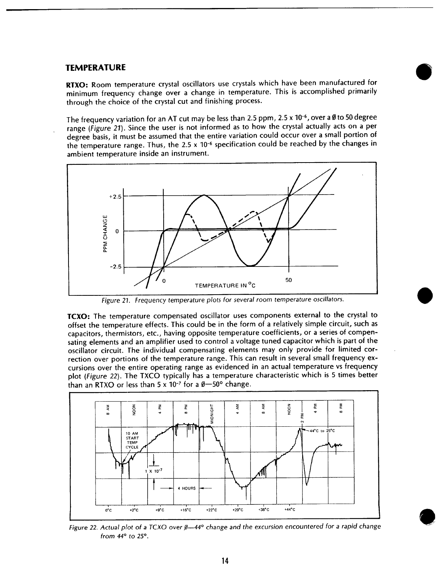#### **TEMPERATURE**

RTXO: Room temperature crystal oscillators use crystals which have been manufactured for minimum frequency change over a change in temperature. This is accomplished primarily through the choice of the crystal cut and finishing process.

The frequency variation for an AT cut may be less than 2.5 ppm, 2.5 x  $10^{-6}$ , over a Ø to 50 degree range (Figure 21). Since the user is not informed as to how the crystal actually acts on a per degree basis, it must be assumed that the entire variation could occur over a small portion of the temperature range. Thus, the 2.5 x 10<sup>-6</sup> specification could be reached by the changes in ambient temperature inside an instrument.



Figure 21. Frequency temperature plots for several room temperature oscillators.

**TCXO:** The temperature compensated oscillator uses components external to the crystal to offset the temperature effects. This could be in the form of a relatively simple circuit, such as capacitors, thermistors, etc., having opposite temperature coefficients, or a series of compensating elements and an amplifier used to control a voltage tuned capacitor which is part of the oscillator circuit. The individual compensating elements may only provide for limited correction over portions of the temperature range. This can result in several small frequency excursions over the entire operating range as evidenced in an actual temperature vs frequency plot (Figure 22). The TXCO typically has a temperature characteristic which is 5 times better than an RTXO or less than  $5 \times 10^{-7}$  for a  $\theta$  - 50° change.



Figure 22. Actual plot of a TCXO over  $\beta$ -44° change and the excursion encountered for a rapid change from  $44^\circ$  to  $25^\circ$ .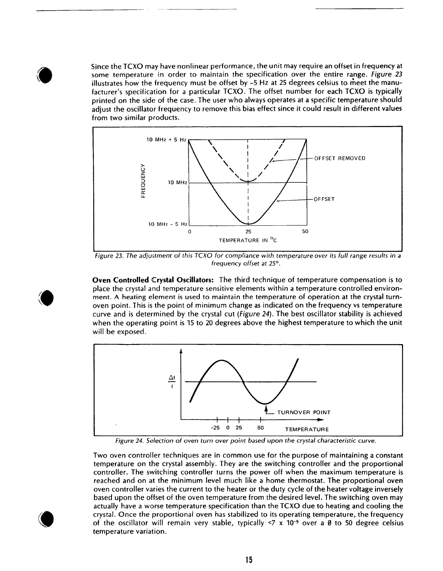Since the TCXO may have nonlinear performance, the unit may require an offset in frequency at some temperature in order to maintain the specification over the entire range. Figure 23 illustrates how the frequency must be offset by  $-5$  Hz at 25 degrees celsius to meet the manufacturer's specification for a particular TCXO. The offset number for each TCXO is typically printed on the side of the case. The user who always operates at a specific temperature should adjust the oscillator frequency to remove this bias effect since it could result in different values from two similar products.



Figure 23. The adjustment of this TCXO for compliance with temperature over its full range results in a frequency offset at 25°.

**Oven Controlled Crystal Oscillators:** The third technique of temperature compensation is to place the crystal and temperature sensitive elements within a temperature controlled environment. A heating element is used to maintain the temperature of operation at the crystal turnoven point. This is the point of minimum change as indicated on the frequency vs temperature curve and is determined by the crystal cut (Figure 24). The best oscillator stability is achieved when the operating point is 15 to 20 degrees above the highest temperature to which the unit will be exposed.



Figure 24. Selection of oven turn over point based upon the crystal characteristic curve.

Two oven controller techniques are in common use for the purpose of maintaining a constant temperature on the crystal assembly. They are the switching controller and the proportional controller. The switching controller turns the power off when the maximum temperature is reached and on at the minimum level much like a home thermostat. The proportional oven oven controller varies the current to the heater or the duty cycle of the heater voltage inversely based upon the offset of the oven temperature from the desired level. The switching oven may actually have a worse temperature specification than the TCXO due to heating and cooling the crystal. Once the proportional oven has stabilized to its operating temperature, the frequency of the oscillator will remain very stable, typically  $\leq 7 \times 10^{-9}$  over a Ø to 50 degree celsius temperature variation.

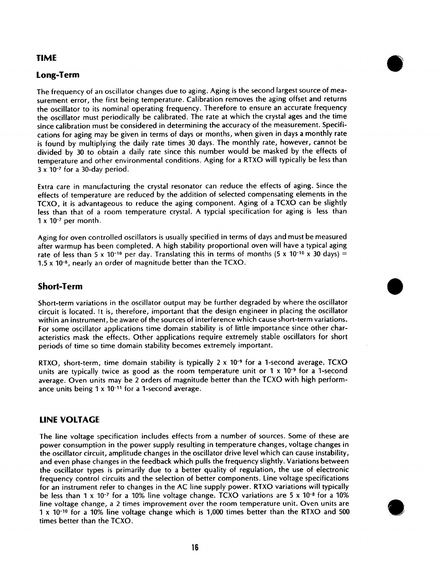#### **TIME**

#### Long-Term

The frequency of an oscillator changes due to aging. Aging is the second largest source of measurement error, the first being temperature. Calibration removes the aging offset and returns the oscillator to its nominal operating frequency. Therefore to ensure an accurate frequency the oscillator must periodically be calibrated. The rate at which the crystal ages and the time since calibration must be considered in determining the accuracy of the measurement. Specifications for aging may be given in terms of days or months, when given in days a monthly rate is found by multiplying the daily rate times 30 days. The monthly rate, however, cannot be divided by 30 to obtain a daily rate since this number would be masked by the effects of temperature and other environmental conditions. Aging for a RTXO will typically be less than  $3 \times 10^{-7}$  for a 30-day period.

Extra care in manufacturing the crystal resonator can reduce the effects of aging. Since the effects of temperature are reduced by the addition of selected compensating elements in the TCXO, it is advantageous to reduce the aging component. Aging of a TCXO can be slightly less than that of a room temperature crystal. A typcial specification for aging is less than  $1 \times 10^{-7}$  per month.

Aging for oven controlled oscillators is usually specified in terms of days and must be measured after warmup has been completed. A high stability proportional oven will have a typical aging rate of less than 5 x 10<sup>-10</sup> per day. Translating this in terms of months (5 x 10<sup>-10</sup> x 30 days) =  $1.5 \times 10^{-8}$ , nearly an order of magnitude better than the TCXO.

#### **Short-Term**

Short-term variations in the oscillator output may be further degraded by where the oscillator circuit is located. It is, therefore, important that the design engineer in placing the oscillator within an instrument, be aware of the sources of interference which cause short-term variations. For some oscillator applications time domain stability is of little importance since other characteristics mask the effects. Other applications require extremely stable oscillators for short periods of time so time domain stability becomes extremely important.

RTXO, short-term, time domain stability is typically  $2 \times 10^{-9}$  for a 1-second average. TCXO units are typically twice as good as the room temperature unit or  $1 \times 10^{-9}$  for a 1-second average. Oven units may be 2 orders of magnitude better than the TCXO with high performance units being 1 x 10-11 for a 1-second average.

#### **LINE VOLTAGE**

The line voltage specification includes effects from a number of sources. Some of these are power consumption in the power supply resulting in temperature changes, voltage changes in the oscillator circuit, amplitude changes in the oscillator drive level which can cause instability, and even phase changes in the feedback which pulls the frequency slightly. Variations between the oscillator types is primarily due to a better quality of regulation, the use of electronic frequency control circuits and the selection of better components. Line voltage specifications for an instrument refer to changes in the AC line supply power. RTXO variations will typically be less than 1 x 10-7 for a 10% line voltage change. TCXO variations are 5 x 10-8 for a 10% line voltage change, a 2 times improvement over the room temperature unit. Oven units are 1 x 10<sup>-10</sup> for a 10% line voltage change which is 1,000 times better than the RTXO and 500 times better than the TCXO.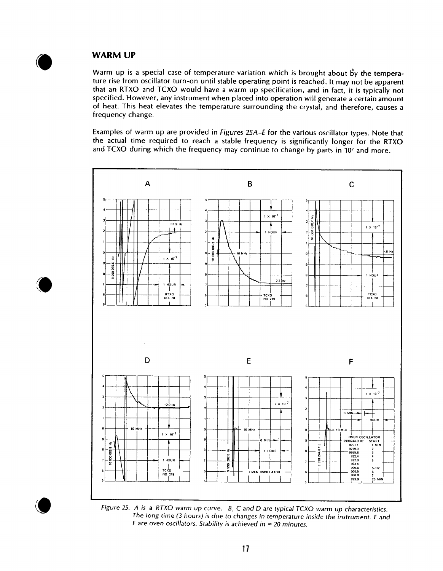#### **WARM UP**

Warm up is a special case of temperature variation which is brought about by the temperature rise from oscillator turn-on until stable operating point is reached. It may not be apparent that an RTXO and TCXO would have a warm up specification, and in fact, it is typically not specified. However, any instrument when placed into operation will generate a certain amount of heat. This heat elevates the temperature surrounding the crystal, and therefore, causes a frequency change.

Examples of warm up are provided in Figures 25A-E for the various oscillator types. Note that the actual time required to reach a stable frequency is significantly longer for the RTXO and TCXO during which the frequency may continue to change by parts in 107 and more.



Figure 25. A is a RTXO warm up curve. B, C and D are typical TCXO warm up characteristics. The long time (3 hours) is due to changes in temperature inside the instrument. E and F are oven oscillators. Stability is achieved in  $\approx$  20 minutes.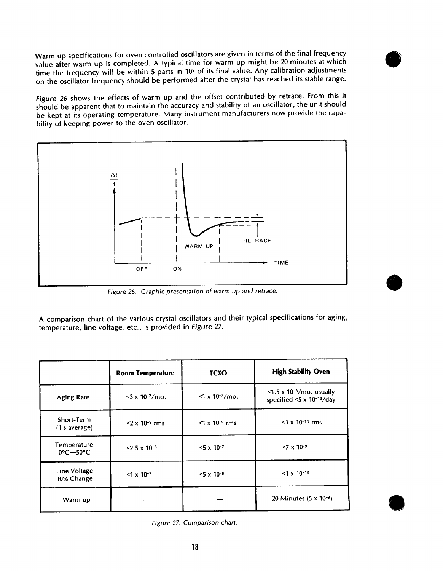Warm up specifications for oven controlled oscillators are given in terms of the final frequency value after warm up is completed. A typical time for warm up might be 20 minutes at which time the frequency will be within 5 parts in 10<sup>9</sup> of its final value. Any calibration adjustments on the oscillator frequency should be performed after the crystal has reached its stable range.

Figure 26 shows the effects of warm up and the offset contributed by retrace. From this it should be apparent that to maintain the accuracy and stability of an oscillator, the unit should be kept at its operating temperature. Many instrument manufacturers now provide the capability of keeping power to the oven oscillator.



Figure 26. Graphic presentation of warm up and retrace.

A comparison chart of the various crystal oscillators and their typical specifications for aging, temperature, line voltage, etc., is provided in Figure 27.

|                                              | <b>Room Temperature</b>       | <b>TCXO</b>                   | <b>High Stability Oven</b>                                          |
|----------------------------------------------|-------------------------------|-------------------------------|---------------------------------------------------------------------|
| <b>Aging Rate</b>                            | $<$ 3 x 10 <sup>-7</sup> /mo. | $<$ 1 x 10 <sup>-7</sup> /mo. | $<$ 1.5 x 10 <sup>-8</sup> /mo. usually<br>specified <5 x 10-10/day |
| Short-Term<br>(1 s average)                  | $2 \times 10^{-9}$ rms        | $<$ 1 x 10 <sup>-9</sup> rms  | $<$ 1 x 10 <sup>-11</sup> rms                                       |
| Temperature<br>$0^{\circ}$ C $-50^{\circ}$ C | $< 2.5 \times 10^{-6}$        | $<$ 5 x 10 <sup>-7</sup>      | $< 7 \times 10^{-9}$                                                |
| Line Voltage<br>10% Change                   | $<$ 1 x 10 <sup>-7</sup>      | $<$ 5 x 10 <sup>-8</sup>      | $<$ 1 x 10 <sup>-10</sup>                                           |
| Warm up                                      |                               |                               | 20 Minutes $(5 \times 10^{-9})$                                     |

Figure 27. Comparison chart.

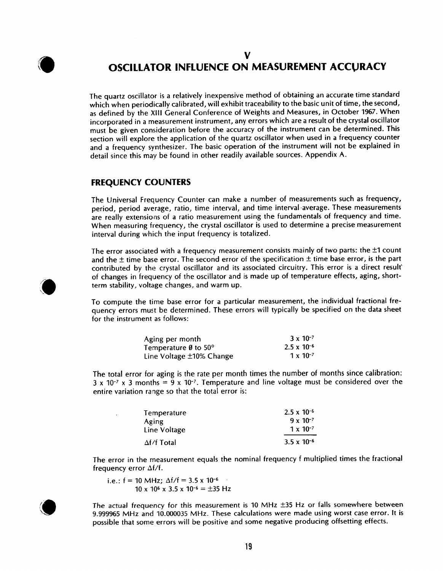

## V **OSCILLATOR INFLUENCE ON MEASUREMENT ACCURACY**

The quartz oscillator is a relatively inexpensive method of obtaining an accurate time standard which when periodically calibrated, will exhibit traceability to the basic unit of time, the second, as defined by the XIII General Conference of Weights and Measures, in October 1967. When incorporated in a measurement instrument, any errors which are a result of the crystal oscillator must be given consideration before the accuracy of the instrument can be determined. This section will explore the application of the quartz oscillator when used in a frequency counter and a frequency synthesizer. The basic operation of the instrument will not be explained in detail since this may be found in other readily available sources. Appendix A.

#### **FREQUENCY COUNTERS**

The Universal Frequency Counter can make a number of measurements such as frequency, period, period average, ratio, time interval, and time interval average. These measurements are really extensions of a ratio measurement using the fundamentals of frequency and time. When measuring frequency, the crystal oscillator is used to determine a precise measurement interval during which the input frequency is totalized.

The error associated with a frequency measurement consists mainly of two parts: the  $\pm 1$  count and the  $\pm$  time base error. The second error of the specification  $\pm$  time base error, is the part contributed by the crystal oscillator and its associated circuitry. This error is a direct result of changes in frequency of the oscillator and is made up of temperature effects, aging, shortterm stability, voltage changes, and warm up.

To compute the time base error for a particular measurement, the individual fractional frequency errors must be determined. These errors will typically be specified on the data sheet for the instrument as follows:

| Aging per month                       | $3 \times 10^{-7}$   |
|---------------------------------------|----------------------|
| Temperature $\theta$ to 50 $^{\circ}$ | $2.5 \times 10^{-6}$ |
| Line Voltage ±10% Change              | $1 \times 10^{-7}$   |

The total error for aging is the rate per month times the number of months since calibration:  $3 \times 10^{-7} \times 3$  months = 9 x 10<sup>-7</sup>. Temperature and line voltage must be considered over the entire variation range so that the total error is:

| Temperature        | $2.5 \times 10^{-6}$ |
|--------------------|----------------------|
| Aging              | $9 \times 10^{-7}$   |
| Line Voltage       | $1 \times 10^{-7}$   |
| $\Delta f/f$ Total | $3.5 \times 10^{-6}$ |

The error in the measurement equals the nominal frequency f multiplied times the fractional frequency error  $\Delta f/f$ .

i.e.:  $f = 10$  MHz;  $\Delta f/f = 3.5 \times 10^{-6}$  $10 \times 10^6 \times 3.5 \times 10^{-6} = \pm 35$  Hz

 $\Delta$ 



The actual frequency for this measurement is 10 MHz  $\pm$ 35 Hz or falls somewhere between 9.999965 MHz and 10.000035 MHz. These calculations were made using worst case error. It is possible that some errors will be positive and some negative producing offsetting effects.

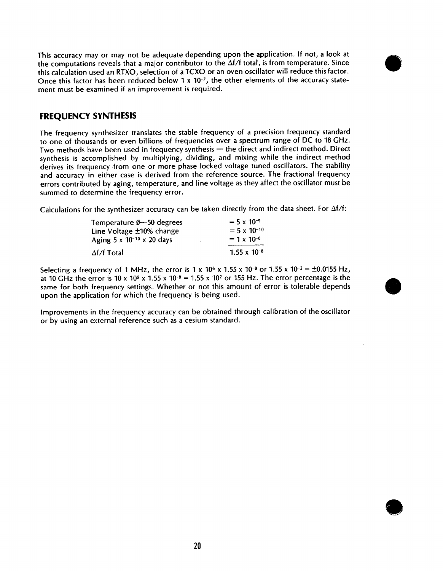This accuracy may or may not be adequate depending upon the application. If not, a look at the computations reveals that a major contributor to the  $\Delta f/f$  total, is from temperature. Since this calculation used an RTXO, selection of a TCXO or an oven oscillator will reduce this factor. Once this factor has been reduced below 1 x 10-7, the other elements of the accuracy statement must be examined if an improvement is required.



#### **FREQUENCY SYNTHESIS**

The frequency synthesizer translates the stable frequency of a precision frequency standard to one of thousands or even billions of frequencies over a spectrum range of DC to 18 GHz. Two methods have been used in frequency synthesis - the direct and indirect method. Direct synthesis is accomplished by multiplying, dividing, and mixing while the indirect method derives its frequency from one or more phase locked voltage tuned oscillators. The stability and accuracy in either case is derived from the reference source. The fractional frequency errors contributed by aging, temperature, and line voltage as they affect the oscillator must be summed to determine the frequency error.

Calculations for the synthesizer accuracy can be taken directly from the data sheet. For  $\Delta f/f$ :

| Temperature Ø-50 degrees                 | $= 5 \times 10^{-9}$  |
|------------------------------------------|-----------------------|
| Line Voltage ±10% change                 | $= 5 \times 10^{-10}$ |
| Aging $5 \times 10^{-10} \times 20$ days | $= 1 \times 10^{-8}$  |
| $\Delta f/f$ Total                       | $1.55 \times 10^{-8}$ |

Selecting a frequency of 1 MHz, the error is 1 x 10<sup>6</sup> x 1.55 x 10<sup>-8</sup> or 1.55 x 10<sup>-2</sup> = ±0.0155 Hz, at 10 GHz the error is 10 x 10<sup>9</sup> x 1.55 x 10<sup>-8</sup> = 1.55 x 10<sup>2</sup> or 155 Hz. The error percentage is the same for both frequency settings. Whether or not this amount of error is tolerable depends upon the application for which the frequency is being used.

Improvements in the frequency accuracy can be obtained through calibration of the oscillator or by using an external reference such as a cesium standard.

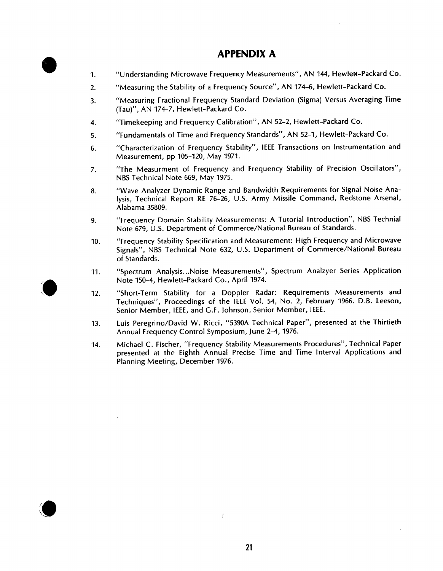# **APPENDIX A**

- "Understanding Microwave Frequency Measurements", AN 144, Hewlett-Packard Co.  $\mathbf{1}$
- $\overline{2}$ . "Measuring the Stability of a Frequency Source", AN 174-6, Hewlett-Packard Co.
- "Measuring Fractional Frequency Standard Deviation (Sigma) Versus Averaging Time  $\overline{3}$ . (Tau)". AN 174-7. Hewlett-Packard Co.
- "Timekeeping and Frequency Calibration", AN 52-2, Hewlett-Packard Co. 4.
- "Fundamentals of Time and Frequency Standards", AN 52-1, Hewlett-Packard Co.  $5<sub>1</sub>$
- "Characterization of Frequency Stability", IEEE Transactions on Instrumentation and 6. Measurement, pp 105-120, May 1971.
- "The Measurment of Frequency and Frequency Stability of Precision Oscillators",  $7.$ NBS Technical Note 669, May 1975.
- "Wave Analyzer Dynamic Range and Bandwidth Requirements for Signal Noise Ana-8. lysis, Technical Report RE 76-26, U.S. Army Missile Command, Redstone Arsenal, Alabama 35809.
- "Frequency Domain Stability Measurements: A Tutorial Introduction", NBS Technial 9. Note 679, U.S. Department of Commerce/National Bureau of Standards.
- "Frequency Stability Specification and Measurement: High Frequency and Microwave  $10.$ Signals", NBS Technical Note 632, U.S. Department of Commerce/National Bureau of Standards.
- "Spectrum Analysis...Noise Measurements", Spectrum Analzyer Series Application  $11.$ Note 150-4. Hewlett-Packard Co., April 1974.
- "Short-Term Stability for a Doppler Radar: Requirements Measurements and  $12.$ Techniques", Proceedings of the IEEE Vol. 54, No. 2, February 1966. D.B. Leeson. Senior Member, IEEE, and G.F. Johnson, Senior Member, IEEE.
- Luis Peregrino/David W. Ricci, "5390A Technical Paper", presented at the Thirtieth  $13.$ Annual Frequency Control Symposium, June 2-4, 1976.
- Michael C. Fischer, "Frequency Stability Measurements Procedures", Technical Paper 14. presented at the Eighth Annual Precise Time and Time Interval Applications and Planning Meeting, December 1976.



 $\bar{t}$